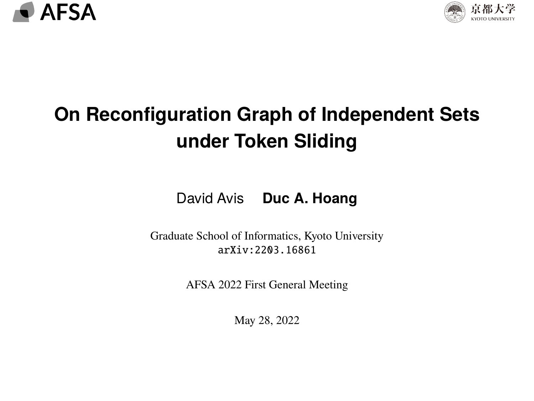<span id="page-0-0"></span>



## **On Reconfiguration Graph of Independent Sets under Token Sliding**

David Avis **Duc A. Hoang**

Graduate School of Informatics, Kyoto University [arXiv:2203.16861](https://arxiv.org/abs/2203.16861)

[AFSA 2022 First General Meeting](https://afsa.jp/generalmeeting2022spring/)

May 28, 2022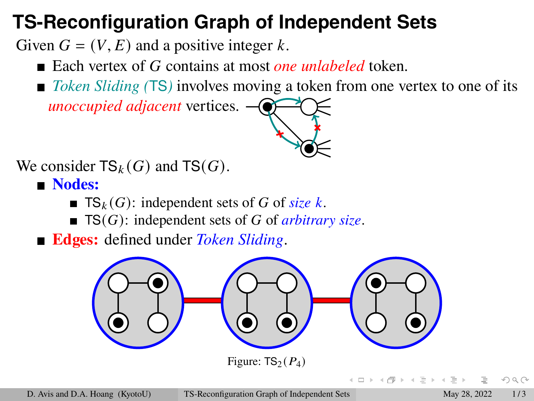### **TS-Reconfiguration Graph of Independent Sets**

Given  $G = (V, E)$  and a positive integer k.

- Each vertex of G contains at most *one unlabeled* token.
- *Token Sliding* (TS) involves moving a token from one vertex to one of its

*unoccupied adjacent* vertices.

We consider  $TS_k(G)$  and  $TS(G)$ .

- **Nodes:**
	- **TS**<sub>k</sub> $(G)$ : independent sets of G of *size* k.
	- $\blacksquare$  **TS(G)**: independent sets of G of *arbitrary size*.

**Edges:** defined under *Token Sliding*.



 $OQ$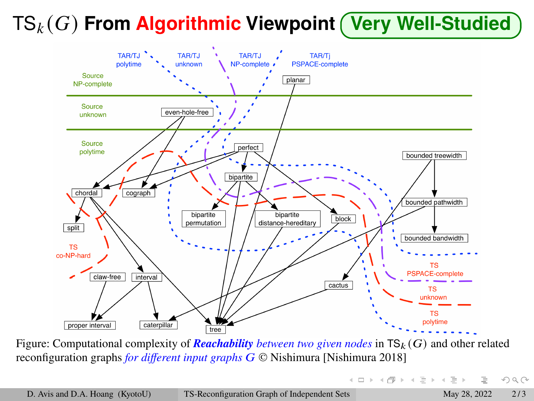# TS () **From Algorithmic Viewpoint Very Well-Studied**



Figure: Computational complexity of *Reachability* between two given nodes in  $\mathsf{TS}_k(G)$  and other related reconfiguration graphs *for different input graphs* © Nishimura [\[Nishimura 2018\]](#page-4-0)

イロト イ押 トイヨ トイヨト

 $OQ$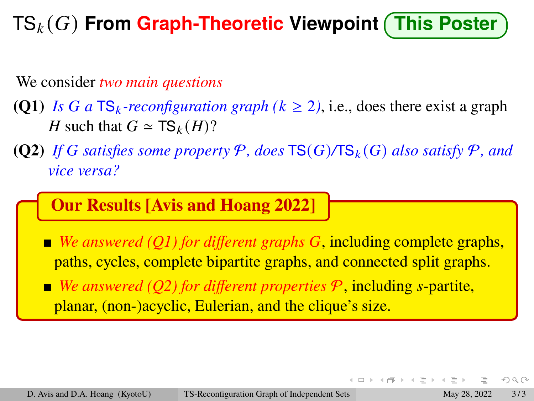## TS () **From Graph-Theoretic Viewpoint This Poster**

We consider *two main questions*

- **(Q1)** *Is G* a TS<sub>k</sub>-reconfiguration graph ( $k \ge 2$ ), i.e., does there exist a graph H such that  $G \simeq \text{TS}_k(H)$ ?
- **(Q2)** If G satisfies some property P, does  $TS(G)/TS_k(G)$  also satisfy P, and *vice versa?*

#### **Our Results [\[Avis and Hoang 2022\]](#page-4-1)**

■ *We answered (O1) for different graphs G*, including complete graphs, paths, cycles, complete bipartite graphs, and connected split graphs.

*<u>* $\blacksquare$  *We answered (O2) for different properties*  $\mathcal{P}$ *, including s-partite,</u>* planar, (non-)acyclic, Eulerian, and the clique's size.

 $OQ$ 

 $\leftarrow$   $\Box$   $\rightarrow$   $\rightarrow$   $\Box$ 

 $\triangleright$  -4  $\Xi$  -3